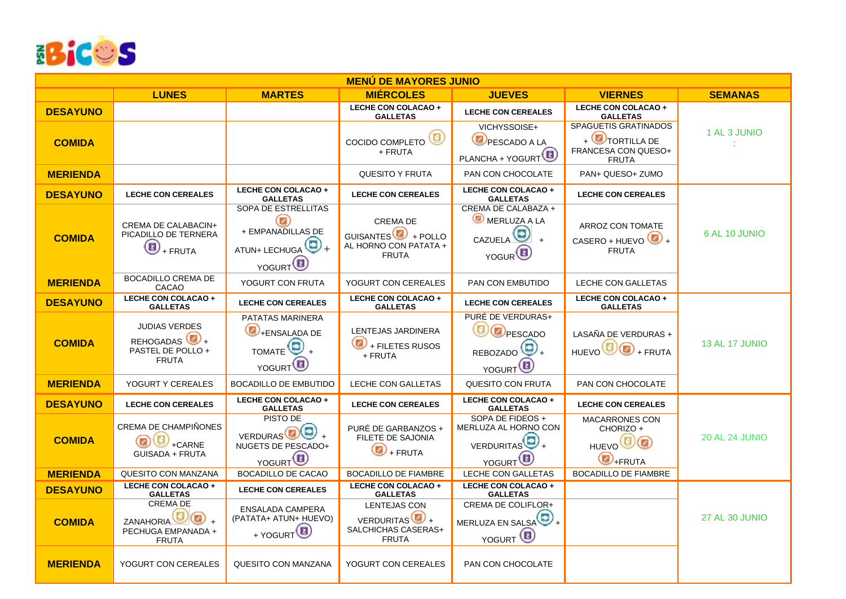

| <b>MENÚ DE MAYORES JUNIO</b> |                                                                                      |                                                                                                                                    |                                                                                           |                                                                                            |                                                                                      |                       |  |  |  |
|------------------------------|--------------------------------------------------------------------------------------|------------------------------------------------------------------------------------------------------------------------------------|-------------------------------------------------------------------------------------------|--------------------------------------------------------------------------------------------|--------------------------------------------------------------------------------------|-----------------------|--|--|--|
|                              | <b>LUNES</b>                                                                         | <b>MARTES</b>                                                                                                                      | <b>MIÉRCOLES</b>                                                                          | <b>JUEVES</b>                                                                              | <b>VIERNES</b>                                                                       | <b>SEMANAS</b>        |  |  |  |
| <b>DESAYUNO</b>              |                                                                                      |                                                                                                                                    | LECHE CON COLACAO +<br><b>GALLETAS</b>                                                    | <b>LECHE CON CEREALES</b>                                                                  | LECHE CON COLACAO +<br><b>GALLETAS</b>                                               |                       |  |  |  |
|                              |                                                                                      |                                                                                                                                    |                                                                                           | VICHYSSOISE+                                                                               | <b>SPAGUETIS GRATINADOS</b>                                                          | 1 AL 3 JUNIO          |  |  |  |
| <b>COMIDA</b>                |                                                                                      |                                                                                                                                    | ⋐<br>COCIDO COMPLETO<br>+ FRUTA                                                           | PESCADO A LA<br>PLANCHA + YOGURT <sup><sup>1</sup></sup>                                   | $+$ $\bigcirc$ TORTILLA DE<br>FRANCESA CON QUESO+<br><b>FRUTA</b>                    |                       |  |  |  |
| <b>MERIENDA</b>              |                                                                                      |                                                                                                                                    | <b>QUESITO Y FRUTA</b>                                                                    | PAN CON CHOCOLATE                                                                          | PAN+ QUESO+ ZUMO                                                                     |                       |  |  |  |
| <b>DESAYUNO</b>              | <b>LECHE CON CEREALES</b>                                                            | LECHE CON COLACAO +<br><b>GALLETAS</b>                                                                                             | <b>LECHE CON CEREALES</b>                                                                 | LECHE CON COLACAO +<br><b>GALLETAS</b>                                                     | <b>LECHE CON CEREALES</b>                                                            |                       |  |  |  |
| <b>COMIDA</b>                | CREMA DE CALABACIN+<br>PICADILLO DE TERNERA<br>$\bf \Xi$<br>+ FRUTA                  | <b>SOPA DE ESTRELLITAS</b><br>$\textcolor{red}{\bullet}$<br>+ EMPANADILLAS DE<br>ATUN+ LECHUGA $\bigcirc$ +<br>YOGURT <sup>D</sup> | <b>CREMA DE</b><br>GUISANTES $\bigoplus$ + POLLO<br>AL HORNO CON PATATA +<br><b>FRUTA</b> | CREMA DE CALABAZA +<br>MERLUZA A LA<br>CAZUELA <sup>(9)</sup><br>$+$<br>YOGUR <sup>(</sup> | ARROZ CON TOMATE<br>CASERO + HUEVO $\bigcirc$ +<br><b>FRUTA</b>                      | 6 AL 10 JUNIO         |  |  |  |
| <b>MERIENDA</b>              | BOCADILLO CREMA DE<br>CACAO                                                          | YOGURT CON FRUTA                                                                                                                   | YOGURT CON CEREALES                                                                       | PAN CON EMBUTIDO                                                                           | <b>LECHE CON GALLETAS</b>                                                            |                       |  |  |  |
| <b>DESAYUNO</b>              | LECHE CON COLACAO +<br><b>GALLETAS</b>                                               | <b>LECHE CON CEREALES</b>                                                                                                          | LECHE CON COLACAO +<br><b>GALLETAS</b>                                                    | <b>LECHE CON CEREALES</b>                                                                  | LECHE CON COLACAO +<br><b>GALLETAS</b>                                               |                       |  |  |  |
| <b>COMIDA</b>                | <b>JUDIAS VERDES</b><br>REHOGADAS <sup>(</sup><br>PASTEL DE POLLO +<br><b>FRUTA</b>  | PATATAS MARINERA<br>Ø<br>+ENSALADA DE<br>TOMATE <sup>O</sup><br>$\ddot{}$<br>YOGURT <sup>D</sup>                                   | LENTEJAS JARDINERA<br>$\bigcirc$ + FILETES RUSOS<br>+ FRUTA                               | <b>PURÉ DE VERDURAS+</b><br>B<br>OPESCADO<br>REBOZADO<br>YOGURT <sup>D</sup>               | LASAÑA DE VERDURAS +<br>$HUEVO$ $\bigoplus$ $\bigoplus$ + FRUTA                      | <b>13 AL 17 JUNIO</b> |  |  |  |
| <b>MERIENDA</b>              | YOGURT Y CEREALES                                                                    | <b>BOCADILLO DE EMBUTIDO</b>                                                                                                       | LECHE CON GALLETAS                                                                        | QUESITO CON FRUTA                                                                          | PAN CON CHOCOLATE                                                                    |                       |  |  |  |
| <b>DESAYUNO</b>              | <b>LECHE CON CEREALES</b>                                                            | LECHE CON COLACAO +<br><b>GALLETAS</b>                                                                                             | <b>LECHE CON CEREALES</b>                                                                 | LECHE CON COLACAO +<br><b>GALLETAS</b>                                                     | <b>LECHE CON CEREALES</b>                                                            |                       |  |  |  |
| <b>COMIDA</b>                | CREMA DE CHAMPIÑONES<br>G<br>+CARNE<br><b>GUISADA + FRUTA</b>                        | PISTO DE<br><b>VERDURAS</b><br>NUGETS DE PESCADO+<br>YOGURT <sup>D</sup>                                                           | PURÉ DE GARBANZOS +<br>FILETE DE SAJONIA<br>O<br>+ FRUTA                                  | SOPA DE FIDEOS +<br>MERLUZA AL HORNO CON<br>VERDURITAS<br>YOGURT <sup>C</sup>              | <b>MACARRONES CON</b><br>CHORIZO +<br><b>HUEVO<sup>ID</sup></b><br>$\bigcirc$ +FRUTA | <b>20 AL 24 JUNIO</b> |  |  |  |
| <b>MERIENDA</b>              | QUESITO CON MANZANA                                                                  | <b>BOCADILLO DE CACAO</b>                                                                                                          | <b>BOCADILLO DE FIAMBRE</b>                                                               | LECHE CON GALLETAS                                                                         | BOCADILLO DE FIAMBRE                                                                 |                       |  |  |  |
| <b>DESAYUNO</b>              | <b>LECHE CON COLACAO +</b><br><b>GALLETAS</b>                                        | <b>LECHE CON CEREALES</b>                                                                                                          | <b>LECHE CON COLACAO +</b><br><b>GALLETAS</b>                                             | <b>LECHE CON COLACAO +</b><br><b>GALLETAS</b>                                              |                                                                                      |                       |  |  |  |
| <b>COMIDA</b>                | <b>CREMA DE</b><br>ZANAHORIA <sup>C</sup><br>◉<br>PECHUGA EMPANADA +<br><b>FRUTA</b> | <b>ENSALADA CAMPERA</b><br>(PATATA+ ATUN+ HUEVO)<br>+ YOGURT <sup>1</sup>                                                          | LENTEJAS CON<br>VERDURITAS <sup>(</sup><br>SALCHICHAS CASERAS+<br><b>FRUTA</b>            | CREMA DE COLIFLOR+<br>MERLUZA EN SALSA<br>YOGURT <sup>(D)</sup>                            |                                                                                      | 27 AL 30 JUNIO        |  |  |  |
| <b>MERIENDA</b>              | YOGURT CON CEREALES                                                                  | <b>QUESITO CON MANZANA</b>                                                                                                         | YOGURT CON CEREALES                                                                       | PAN CON CHOCOLATE                                                                          |                                                                                      |                       |  |  |  |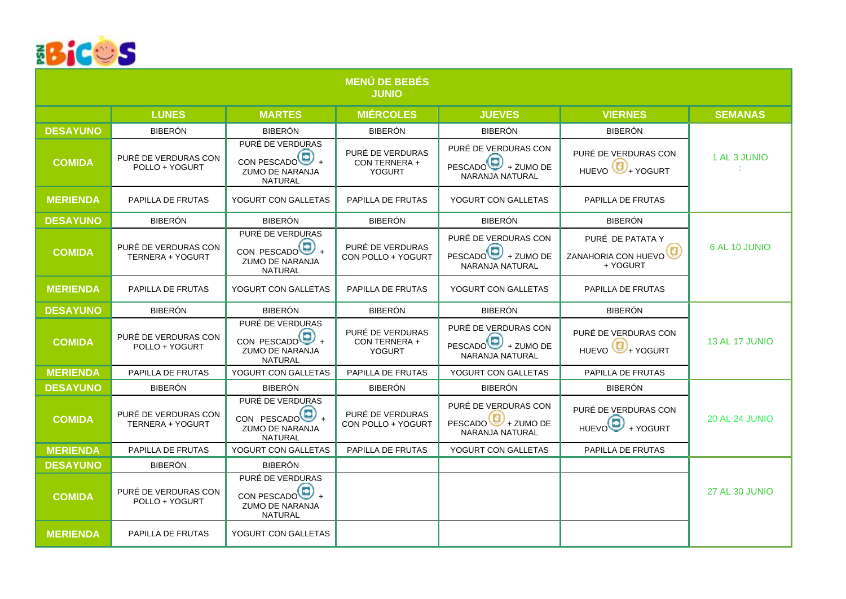

|                 |                                                 |                                                                                           | <b>MENÚ DE BEBÉS</b><br><b>JUNIO</b>               |                                                                             |                                                       |                       |
|-----------------|-------------------------------------------------|-------------------------------------------------------------------------------------------|----------------------------------------------------|-----------------------------------------------------------------------------|-------------------------------------------------------|-----------------------|
|                 | <b>LUNES</b>                                    | <b>MARTES</b>                                                                             | <b>MIÉRCOLES</b>                                   | <b>JUEVES</b>                                                               | <b>VIERNES</b>                                        | <b>SEMANAS</b>        |
| <b>DESAYUNO</b> | <b>BIBERÓN</b>                                  | <b>BIBERÓN</b>                                                                            | <b>BIBERÓN</b>                                     | <b>BIBERÓN</b>                                                              | <b>BIBERÓN</b>                                        |                       |
| <b>COMIDA</b>   | PURÉ DE VERDURAS CON<br>POLLO + YOGURT          | PURÉ DE VERDURAS<br>CON PESCADO $\bigoplus_+$<br><b>ZUMO DE NARANJA</b><br>NATURAL        | PURÉ DE VERDURAS<br>CON TERNERA +<br><b>YOGURT</b> | PURÉ DE VERDURAS CON<br>PESCADO <sup>O</sup> + ZUMO DE<br>NARANJA NATURAL   | PURÉ DE VERDURAS CON<br>HUEVO <sup>(C)</sup> + YOGURT | 1 AL 3 JUNIO          |
| <b>MERIENDA</b> | PAPILLA DE FRUTAS                               | YOGURT CON GALLETAS                                                                       | PAPILLA DE FRUTAS                                  | YOGURT CON GALLETAS                                                         | PAPILLA DE FRUTAS                                     |                       |
| <b>DESAYUNO</b> | <b>BIBERÓN</b>                                  | <b>BIBERÓN</b>                                                                            | <b>BIBERÓN</b>                                     | <b>BIBERÓN</b>                                                              | <b>BIBERÓN</b>                                        |                       |
| <b>COMIDA</b>   | PURÉ DE VERDURAS CON<br>TERNERA + YOGURT        | PURÉ DE VERDURAS<br>CON PESCADO $\bigoplus$ +<br><b>ZUMO DE NARANJA</b><br><b>NATURAL</b> | PURÉ DE VERDURAS<br>CON POLLO + YOGURT             | PURÉ DE VERDURAS CON<br>PESCADO <sup>O</sup> + ZUMO DE<br>NARANJA NATURAL   | PURÉ DE PATATA Y<br>ZANAHORIA CON HUEVO<br>+ YOGURT   | 6 AL 10 JUNIO         |
| <b>MERIENDA</b> | PAPILLA DE FRUTAS                               | YOGURT CON GALLETAS                                                                       | PAPILLA DE FRUTAS                                  | YOGURT CON GALLETAS                                                         | PAPILLA DE FRUTAS                                     |                       |
| <b>DESAYUNO</b> | <b>BIBERÓN</b>                                  | <b>BIBERÓN</b>                                                                            | <b>BIBERÓN</b>                                     | <b>BIBERÓN</b>                                                              | <b>BIBERÓN</b>                                        |                       |
| <b>COMIDA</b>   | PURÉ DE VERDURAS CON<br>POLLO + YOGURT          | PURÉ DE VERDURAS<br>CON PESCADO $\bigcirc$ +<br><b>ZUMO DE NARANJA</b><br><b>NATURAL</b>  | PURÉ DE VERDURAS<br>CON TERNERA +<br><b>YOGURT</b> | PURÉ DE VERDURAS CON<br>PESCADO <sup>(2)</sup> + ZUMO DE<br>NARANJA NATURAL | PURÉ DE VERDURAS CON<br>HUEVO <sup>(0</sup> +YOGURT   | <b>13 AL 17 JUNIO</b> |
| <b>MERIENDA</b> | PAPILLA DE FRUTAS                               | YOGURT CON GALLETAS                                                                       | PAPILLA DE FRUTAS                                  | YOGURT CON GALLETAS                                                         | PAPILLA DE FRUTAS                                     |                       |
| <b>DESAYUNO</b> | <b>BIBERÓN</b>                                  | <b>BIBERÓN</b>                                                                            | <b>BIBERÓN</b>                                     | <b>BIBERÓN</b>                                                              | <b>BIBERÓN</b>                                        |                       |
| <b>COMIDA</b>   | PURÉ DE VERDURAS CON<br><b>TERNERA + YOGURT</b> | PURÉ DE VERDURAS<br>CON PESCADO <sup>(D)</sup> +<br>ZUMO DE NARANJA<br><b>NATURAL</b>     | PURÉ DE VERDURAS<br>CON POLLO + YOGURT             | PURÉ DE VERDURAS CON<br>PESCADO <sup>1</sup> + ZUMO DE<br>NARANJA NATURAL   | PURÉ DE VERDURAS CON<br>HUEVO <sup>O</sup> +YOGURT    | <b>20 AL 24 JUNIO</b> |
| <b>MERIENDA</b> | PAPILLA DE FRUTAS                               | YOGURT CON GALLETAS                                                                       | PAPILLA DE FRUTAS                                  | YOGURT CON GALLETAS                                                         | PAPILLA DE FRUTAS                                     |                       |
| <b>DESAYUNO</b> | <b>BIBERÓN</b>                                  | <b>BIBERÓN</b>                                                                            |                                                    |                                                                             |                                                       |                       |
| <b>COMIDA</b>   | PURÉ DE VERDURAS CON<br>POLLO + YOGURT          | PURÉ DE VERDURAS<br>CON PESCADO <sup>O</sup> +<br>ZUMO DE NARANJA<br><b>NATURAL</b>       |                                                    |                                                                             |                                                       | 27 AL 30 JUNIO        |
| <b>MERIENDA</b> | PAPILLA DE FRUTAS                               | YOGURT CON GALLETAS                                                                       |                                                    |                                                                             |                                                       |                       |